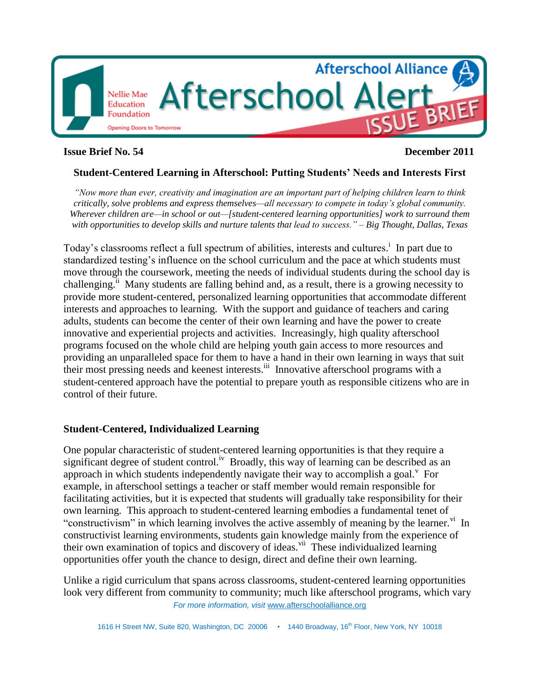

### **Issue Brief No. 54 December 2011**

### **Student-Centered Learning in Afterschool: Putting Students' Needs and Interests First**

*―Now more than ever, creativity and imagination are an important part of helping children learn to think critically, solve problems and express themselves—all necessary to compete in today's global community. Wherever children are—in school or out—[student-centered learning opportunities] work to surround them with opportunities to develop skills and nurture talents that lead to success.‖ – Big Thought, Dallas, Texas*

Today's classrooms reflect a full spectrum of abilities, interests and cultures.<sup>i</sup> In part due to standardized testing's influence on the school curriculum and the pace at which students must move through the coursework, meeting the needs of individual students during the school day is challenging.<sup>ii</sup> Many students are falling behind and, as a result, there is a growing necessity to provide more student-centered, personalized learning opportunities that accommodate different interests and approaches to learning. With the support and guidance of teachers and caring adults, students can become the center of their own learning and have the power to create innovative and experiential projects and activities. Increasingly, high quality afterschool programs focused on the whole child are helping youth gain access to more resources and providing an unparalleled space for them to have a hand in their own learning in ways that suit their most pressing needs and keenest interests. iii Innovative afterschool programs with a student-centered approach have the potential to prepare youth as responsible citizens who are in control of their future.

#### **Student-Centered, Individualized Learning**

One popular characteristic of student-centered learning opportunities is that they require a significant degree of student control.<sup>iv</sup> Broadly, this way of learning can be described as an approach in which students independently navigate their way to accomplish a goal. $<sup>v</sup>$  For</sup> example, in afterschool settings a teacher or staff member would remain responsible for facilitating activities, but it is expected that students will gradually take responsibility for their own learning. This approach to student-centered learning embodies a fundamental tenet of "constructivism" in which learning involves the active assembly of meaning by the learner.<sup>vi</sup> In constructivist learning environments, students gain knowledge mainly from the experience of their own examination of topics and discovery of ideas.<sup>vii</sup> These individualized learning opportunities offer youth the chance to design, direct and define their own learning.

*For more information, visit* www.afterschoolalliance.org Unlike a rigid curriculum that spans across classrooms, student-centered learning opportunities look very different from community to community; much like afterschool programs, which vary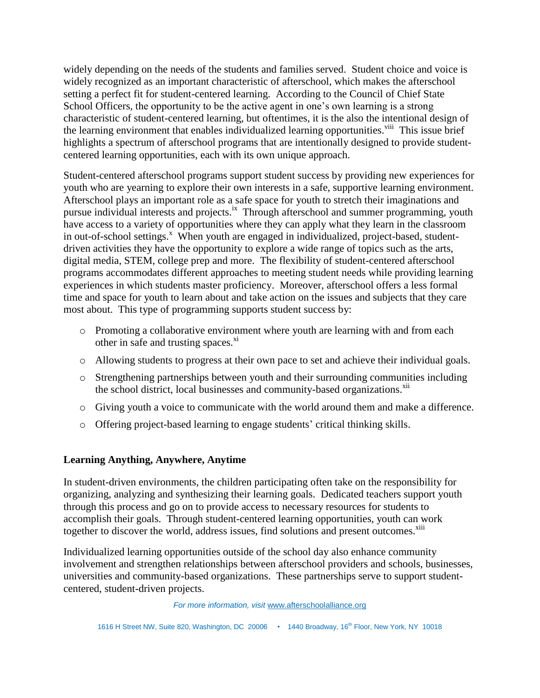widely depending on the needs of the students and families served. Student choice and voice is widely recognized as an important characteristic of afterschool, which makes the afterschool setting a perfect fit for student-centered learning. According to the Council of Chief State School Officers, the opportunity to be the active agent in one's own learning is a strong characteristic of student-centered learning, but oftentimes, it is the also the intentional design of the learning environment that enables individualized learning opportunities.<sup>viii</sup> This issue brief highlights a spectrum of afterschool programs that are intentionally designed to provide studentcentered learning opportunities, each with its own unique approach.

Student-centered afterschool programs support student success by providing new experiences for youth who are yearning to explore their own interests in a safe, supportive learning environment. Afterschool plays an important role as a safe space for youth to stretch their imaginations and pursue individual interests and projects.<sup>ix</sup> Through afterschool and summer programming, youth have access to a variety of opportunities where they can apply what they learn in the classroom in out-of-school settings.<sup>x</sup> When youth are engaged in individualized, project-based, studentdriven activities they have the opportunity to explore a wide range of topics such as the arts, digital media, STEM, college prep and more. The flexibility of student-centered afterschool programs accommodates different approaches to meeting student needs while providing learning experiences in which students master proficiency. Moreover, afterschool offers a less formal time and space for youth to learn about and take action on the issues and subjects that they care most about. This type of programming supports student success by:

- o Promoting a collaborative environment where youth are learning with and from each other in safe and trusting spaces. $\frac{x^{i}}{i}$
- o Allowing students to progress at their own pace to set and achieve their individual goals.
- o Strengthening partnerships between youth and their surrounding communities including the school district, local businesses and community-based organizations.<sup>xii</sup>
- o Giving youth a voice to communicate with the world around them and make a difference.
- o Offering project-based learning to engage students' critical thinking skills.

#### **Learning Anything, Anywhere, Anytime**

In student-driven environments, the children participating often take on the responsibility for organizing, analyzing and synthesizing their learning goals. Dedicated teachers support youth through this process and go on to provide access to necessary resources for students to accomplish their goals. Through student-centered learning opportunities, youth can work together to discover the world, address issues, find solutions and present outcomes.<sup>xiii</sup>

Individualized learning opportunities outside of the school day also enhance community involvement and strengthen relationships between afterschool providers and schools, businesses, universities and community-based organizations. These partnerships serve to support studentcentered, student-driven projects.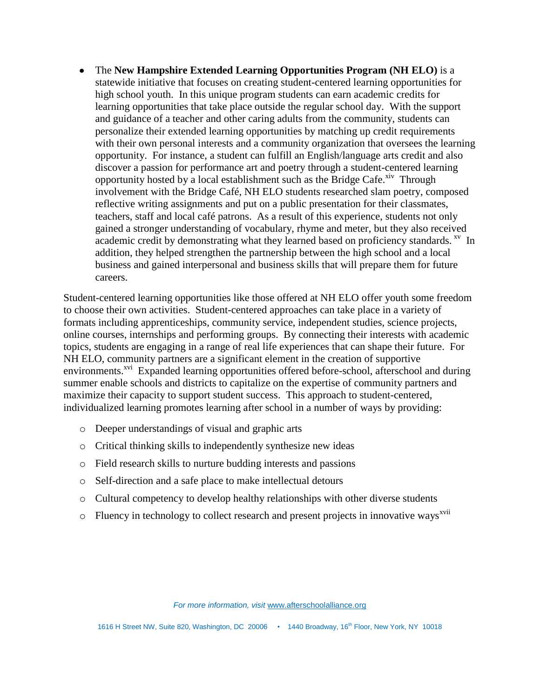The **New Hampshire Extended Learning Opportunities Program (NH ELO)** is a statewide initiative that focuses on creating student-centered learning opportunities for high school youth. In this unique program students can earn academic credits for learning opportunities that take place outside the regular school day. With the support and guidance of a teacher and other caring adults from the community, students can personalize their extended learning opportunities by matching up credit requirements with their own personal interests and a community organization that oversees the learning opportunity. For instance, a student can fulfill an English/language arts credit and also discover a passion for performance art and poetry through a student-centered learning opportunity hosted by a local establishment such as the Bridge Cafe.<sup>xiv</sup> Through involvement with the Bridge Café, NH ELO students researched slam poetry, composed reflective writing assignments and put on a public presentation for their classmates, teachers, staff and local café patrons. As a result of this experience, students not only gained a stronger understanding of vocabulary, rhyme and meter, but they also received academic credit by demonstrating what they learned based on proficiency standards. <sup>xv</sup> In addition, they helped strengthen the partnership between the high school and a local business and gained interpersonal and business skills that will prepare them for future careers.

Student-centered learning opportunities like those offered at NH ELO offer youth some freedom to choose their own activities. Student-centered approaches can take place in a variety of formats including apprenticeships, community service, independent studies, science projects, online courses, internships and performing groups. By connecting their interests with academic topics, students are engaging in a range of real life experiences that can shape their future. For NH ELO, community partners are a significant element in the creation of supportive environments.<sup>xvi</sup> Expanded learning opportunities offered before-school, afterschool and during summer enable schools and districts to capitalize on the expertise of community partners and maximize their capacity to support student success. This approach to student-centered, individualized learning promotes learning after school in a number of ways by providing:

- o Deeper understandings of visual and graphic arts
- o Critical thinking skills to independently synthesize new ideas
- o Field research skills to nurture budding interests and passions
- o Self-direction and a safe place to make intellectual detours
- o Cultural competency to develop healthy relationships with other diverse students
- $\circ$  Fluency in technology to collect research and present projects in innovative ways<sup>xvii</sup>

*For more information, visit* www.afterschoolalliance.org

1616 H Street NW, Suite 820, Washington, DC 20006 • 1440 Broadway, 16<sup>th</sup> Floor, New York, NY 10018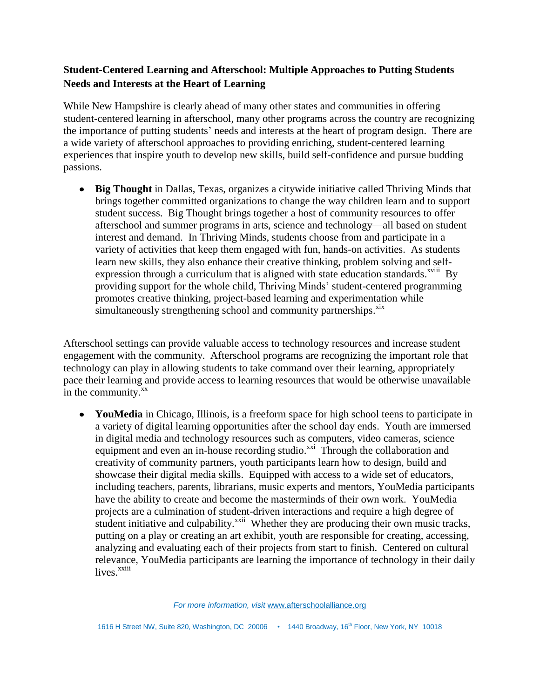# **Student-Centered Learning and Afterschool: Multiple Approaches to Putting Students Needs and Interests at the Heart of Learning**

While New Hampshire is clearly ahead of many other states and communities in offering student-centered learning in afterschool, many other programs across the country are recognizing the importance of putting students' needs and interests at the heart of program design. There are a wide variety of afterschool approaches to providing enriching, student-centered learning experiences that inspire youth to develop new skills, build self-confidence and pursue budding passions.

**Big Thought** in Dallas, Texas, organizes a citywide initiative called Thriving Minds that brings together committed organizations to change the way children learn and to support student success. Big Thought brings together a host of community resources to offer afterschool and summer programs in arts, science and technology—all based on student interest and demand. In Thriving Minds, students choose from and participate in a variety of activities that keep them engaged with fun, hands-on activities. As students learn new skills, they also enhance their creative thinking, problem solving and selfexpression through a curriculum that is aligned with state education standards.<sup>xviii</sup> By providing support for the whole child, Thriving Minds' student-centered programming promotes creative thinking, project-based learning and experimentation while simultaneously strengthening school and community partnerships.<sup>xix</sup>

Afterschool settings can provide valuable access to technology resources and increase student engagement with the community. Afterschool programs are recognizing the important role that technology can play in allowing students to take command over their learning, appropriately pace their learning and provide access to learning resources that would be otherwise unavailable in the community.<sup>xx</sup>

**YouMedia** in Chicago, Illinois, is a freeform space for high school teens to participate in a variety of digital learning opportunities after the school day ends. Youth are immersed in digital media and technology resources such as computers, video cameras, science equipment and even an in-house recording studio. $\overline{x}^{x}$  Through the collaboration and creativity of community partners, youth participants learn how to design, build and showcase their digital media skills. Equipped with access to a wide set of educators, including teachers, parents, librarians, music experts and mentors, YouMedia participants have the ability to create and become the masterminds of their own work. YouMedia projects are a culmination of student-driven interactions and require a high degree of student initiative and culpability.<sup> $xxi$ i</sup> Whether they are producing their own music tracks, putting on a play or creating an art exhibit, youth are responsible for creating, accessing, analyzing and evaluating each of their projects from start to finish. Centered on cultural relevance, YouMedia participants are learning the importance of technology in their daily lives.<sup>xxiii</sup>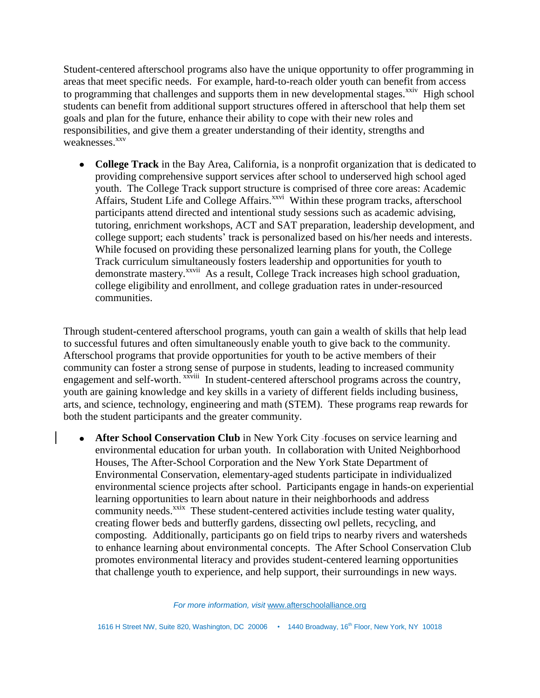Student-centered afterschool programs also have the unique opportunity to offer programming in areas that meet specific needs. For example, hard-to-reach older youth can benefit from access to programming that challenges and supports them in new developmental stages. $^{xxiv}$  High school students can benefit from additional support structures offered in afterschool that help them set goals and plan for the future, enhance their ability to cope with their new roles and responsibilities, and give them a greater understanding of their identity, strengths and weaknesses.<sup>xxv</sup>

**College Track** in the Bay Area, California, is a nonprofit organization that is dedicated to providing comprehensive support services after school to underserved high school aged youth. The College Track support structure is comprised of three core areas: Academic Affairs, Student Life and College Affairs.<sup>xxvi</sup> Within these program tracks, afterschool participants attend directed and intentional study sessions such as academic advising, tutoring, enrichment workshops, ACT and SAT preparation, leadership development, and college support; each students' track is personalized based on his/her needs and interests. While focused on providing these personalized learning plans for youth, the College Track curriculum simultaneously fosters leadership and opportunities for youth to demonstrate mastery.<sup>xxvii</sup> As a result, College Track increases high school graduation, college eligibility and enrollment, and college graduation rates in under-resourced communities.

Through student-centered afterschool programs, youth can gain a wealth of skills that help lead to successful futures and often simultaneously enable youth to give back to the community. Afterschool programs that provide opportunities for youth to be active members of their community can foster a strong sense of purpose in students, leading to increased community engagement and self-worth. <sup>xxviii</sup> In student-centered afterschool programs across the country, youth are gaining knowledge and key skills in a variety of different fields including business, arts, and science, technology, engineering and math (STEM). These programs reap rewards for both the student participants and the greater community.

• **After School Conservation Club** in New York City focuses on service learning and environmental education for urban youth. In collaboration with United Neighborhood Houses, The After-School Corporation and the New York State Department of Environmental Conservation, elementary-aged students participate in individualized environmental science projects after school. Participants engage in hands-on experiential learning opportunities to learn about nature in their neighborhoods and address community needs.<sup>xxix</sup> These student-centered activities include testing water quality, creating flower beds and butterfly gardens, dissecting owl pellets, recycling, and composting. Additionally, participants go on field trips to nearby rivers and watersheds to enhance learning about environmental concepts. The After School Conservation Club promotes environmental literacy and provides student-centered learning opportunities that challenge youth to experience, and help support, their surroundings in new ways.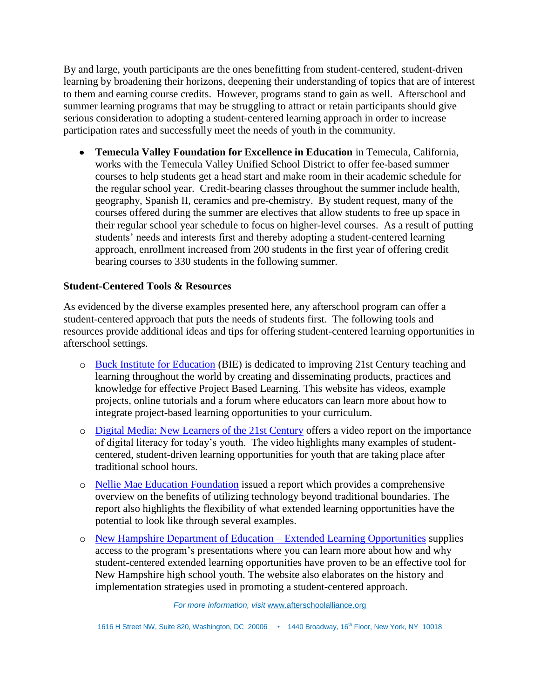By and large, youth participants are the ones benefitting from student-centered, student-driven learning by broadening their horizons, deepening their understanding of topics that are of interest to them and earning course credits. However, programs stand to gain as well. Afterschool and summer learning programs that may be struggling to attract or retain participants should give serious consideration to adopting a student-centered learning approach in order to increase participation rates and successfully meet the needs of youth in the community.

**Temecula Valley Foundation for Excellence in Education** in Temecula, California, works with the Temecula Valley Unified School District to offer fee-based summer courses to help students get a head start and make room in their academic schedule for the regular school year. Credit-bearing classes throughout the summer include health, geography, Spanish II, ceramics and pre-chemistry. By student request, many of the courses offered during the summer are electives that allow students to free up space in their regular school year schedule to focus on higher-level courses. As a result of putting students' needs and interests first and thereby adopting a student-centered learning approach, enrollment increased from 200 students in the first year of offering credit bearing courses to 330 students in the following summer.

## **Student-Centered Tools & Resources**

As evidenced by the diverse examples presented here, any afterschool program can offer a student-centered approach that puts the needs of students first. The following tools and resources provide additional ideas and tips for offering student-centered learning opportunities in afterschool settings.

- o [Buck Institute for Education](http://www.bie.org/) (BIE) is dedicated to improving 21st Century teaching and learning throughout the world by creating and disseminating products, practices and knowledge for effective Project Based Learning. This website has videos, example projects, online tutorials and a forum where educators can learn more about how to integrate project-based learning opportunities to your curriculum.
- o [Digital Media: New Learners of the 21st Century](http://www.pbs.org/programs/digital-media/) offers a video report on the importance of digital literacy for today's youth. The video highlights many examples of studentcentered, student-driven learning opportunities for youth that are taking place after traditional school hours.
- o [Nellie Mae Education Foundation](http://www.nmefdn.org/uploads/Integrating%20Tech%20with%20SCL.pdf) issued a report which provides a comprehensive overview on the benefits of utilizing technology beyond traditional boundaries. The report also highlights the flexibility of what extended learning opportunities have the potential to look like through several examples.
- o [New Hampshire Department of Education –](http://www.education.nh.gov/innovations/elo/index.htm) Extended Learning Opportunities supplies access to the program's presentations where you can learn more about how and why student-centered extended learning opportunities have proven to be an effective tool for New Hampshire high school youth. The website also elaborates on the history and implementation strategies used in promoting a student-centered approach.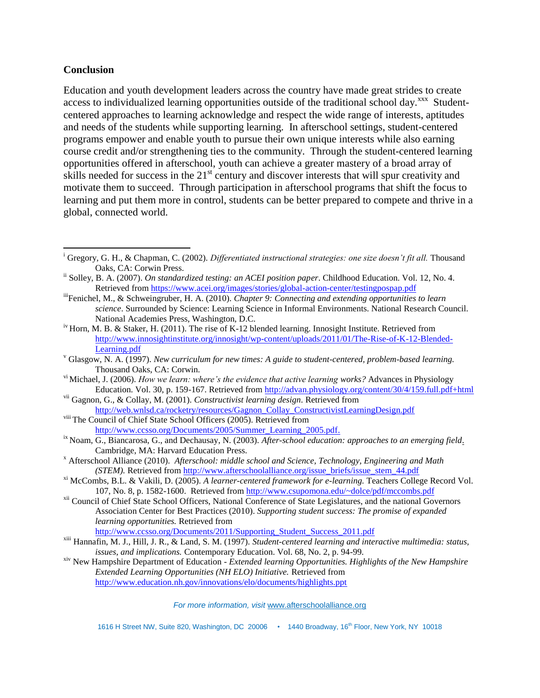#### **Conclusion**

l

Education and youth development leaders across the country have made great strides to create access to individualized learning opportunities outside of the traditional school day.<sup>xxx</sup> Studentcentered approaches to learning acknowledge and respect the wide range of interests, aptitudes and needs of the students while supporting learning. In afterschool settings, student-centered programs empower and enable youth to pursue their own unique interests while also earning course credit and/or strengthening ties to the community. Through the student-centered learning opportunities offered in afterschool, youth can achieve a greater mastery of a broad array of skills needed for success in the 21<sup>st</sup> century and discover interests that will spur creativity and motivate them to succeed. Through participation in afterschool programs that shift the focus to learning and put them more in control, students can be better prepared to compete and thrive in a global, connected world.

- <sup>iv</sup> Horn, M. B. & Staker, H. (2011). The rise of K-12 blended learning. Innosight Institute. Retrieved from [http://www.innosightinstitute.org/innosight/wp-content/uploads/2011/01/The-Rise-of-K-12-Blended-](http://www.innosightinstitute.org/innosight/wp-content/uploads/2011/01/The-Rise-of-K-12-Blended-Learning.pdf)[Learning.pdf](http://www.innosightinstitute.org/innosight/wp-content/uploads/2011/01/The-Rise-of-K-12-Blended-Learning.pdf)
- <sup>v</sup> Glasgow, N. A. (1997). *New curriculum for new times: A guide to student-centered, problem-based learning.* Thousand Oaks, CA: Corwin.
- vi Michael, J. (2006). *How we learn: where's the evidence that active learning works?* Advances in Physiology Education. Vol. 30, p. 159-167. Retrieved from<http://advan.physiology.org/content/30/4/159.full.pdf+html>
- vii Gagnon, G., & Collay, M. (2001). *Constructivist learning design*. Retrieved from [http://web.wnlsd.ca/rocketry/resources/Gagnon\\_Collay\\_ConstructivistLearningDesign.pdf](http://web.wnlsd.ca/rocketry/resources/Gagnon_Collay_ConstructivistLearningDesign.pdf)
- viii The Council of Chief State School Officers (2005). Retrieved from [http://www.ccsso.org/Documents/2005/Summer\\_Learning\\_2005.pdf.](http://www.ccsso.org/Documents/2005/Summer_Learning_2005.pdf)
- ix Noam, G., Biancarosa, G., and Dechausay, N. (2003). *After-school education: approaches to an emerging field*. Cambridge, MA: Harvard Education Press.
- <sup>x</sup> Afterschool Alliance (2010). *Afterschool: middle school and Science, Technology, Engineering and Math (STEM).* Retrieved from [http://www.afterschoolalliance.org/issue\\_briefs/issue\\_stem\\_44.pdf](http://www.afterschoolalliance.org/issue_briefs/issue_stem_44.pdf)
- xi McCombs, B.L. & Vakili, D. (2005). *A learner-centered framework for e-learning.* Teachers College Record Vol. 107, No. 8, p. 1582-1600. Retrieved from<http://www.csupomona.edu/~dolce/pdf/mccombs.pdf>
- <sup>xii</sup> Council of Chief State School Officers, National Conference of State Legislatures, and the national Governors Association Center for Best Practices (2010). *Supporting student success: The promise of expanded learning opportunities.* Retrieved from

[http://www.ccsso.org/Documents/2011/Supporting\\_Student\\_Success\\_2011.pdf](http://www.ccsso.org/Documents/2011/Supporting_Student_Success_2011.pdf)

#### *For more information, visit* www.afterschoolalliance.org

1616 H Street NW, Suite 820, Washington, DC 20006 • 1440 Broadway, 16<sup>th</sup> Floor, New York, NY 10018

<sup>i</sup> Gregory, G. H., & Chapman, C. (2002). *Differentiated instructional strategies: one size doesn't fit all.* Thousand Oaks, CA: Corwin Press.

ii Solley, B. A. (2007). *On standardized testing: an ACEI position paper*. Childhood Education. Vol. 12, No. 4. Retrieved from<https://www.acei.org/images/stories/global-action-center/testingpospap.pdf>

iiiFenichel, M., & Schweingruber, H. A. (2010). *Chapter 9: Connecting and extending opportunities to learn science*. Surrounded by Science: Learning Science in Informal Environments. National Research Council. National Academies Press, Washington, D.C.

xiii Hannafin, M. J., Hill, J. R., & Land, S. M. (1997). *Student-centered learning and interactive multimedia: status, issues, and implications.* Contemporary Education. Vol. 68, No. 2, p. 94-99.

xiv New Hampshire Department of Education - *Extended learning Opportunities. Highlights of the New Hampshire Extended Learning Opportunities (NH ELO) Initiative.* Retrieved from http://www.education.nh.gov/innovations/elo/documents/highlights.ppt